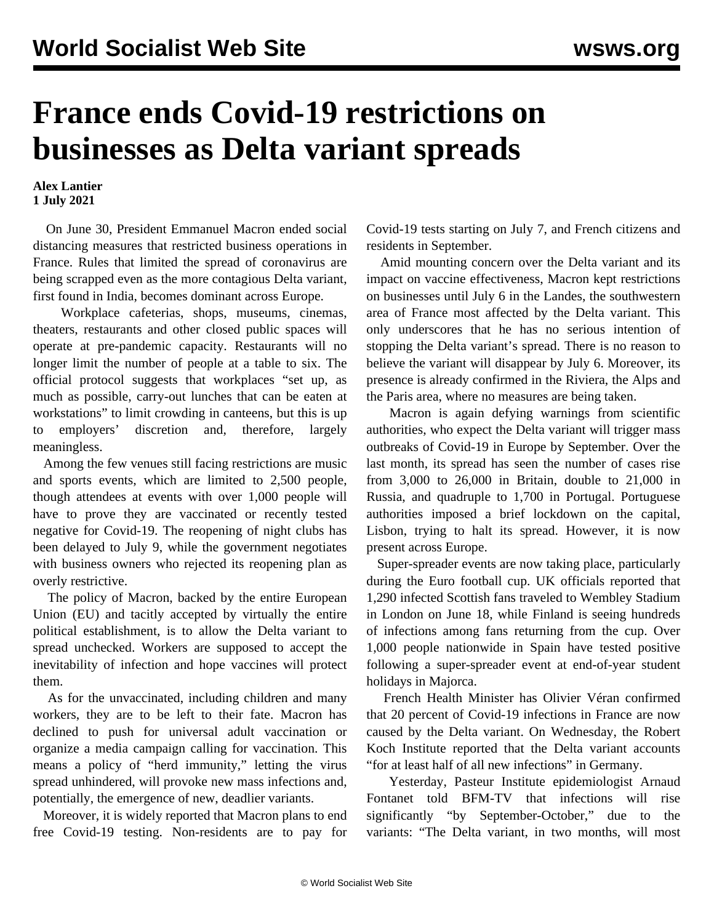## **France ends Covid-19 restrictions on businesses as Delta variant spreads**

## **Alex Lantier 1 July 2021**

 On June 30, President Emmanuel Macron ended social distancing measures that restricted business operations in France. Rules that limited the spread of coronavirus are being scrapped even as the more contagious Delta variant, first found in India, becomes dominant across Europe.

 Workplace cafeterias, shops, museums, cinemas, theaters, restaurants and other closed public spaces will operate at pre-pandemic capacity. Restaurants will no longer limit the number of people at a table to six. The official protocol suggests that workplaces "set up, as much as possible, carry-out lunches that can be eaten at workstations" to limit crowding in canteens, but this is up to employers' discretion and, therefore, largely meaningless.

 Among the few venues still facing restrictions are music and sports events, which are limited to 2,500 people, though attendees at events with over 1,000 people will have to prove they are vaccinated or recently tested negative for Covid-19. The reopening of night clubs has been delayed to July 9, while the government negotiates with business owners who rejected its reopening plan as overly restrictive.

 The policy of Macron, backed by the entire European Union (EU) and tacitly accepted by virtually the entire political establishment, is to allow the Delta variant to spread unchecked. Workers are supposed to accept the inevitability of infection and hope vaccines will protect them.

 As for the unvaccinated, including children and many workers, they are to be left to their fate. Macron has declined to push for universal adult vaccination or organize a media campaign calling for vaccination. This means a policy of "herd immunity," letting the virus spread unhindered, will provoke new mass infections and, potentially, the emergence of new, deadlier variants.

 Moreover, it is widely reported that Macron plans to end free Covid-19 testing. Non-residents are to pay for Covid-19 tests starting on July 7, and French citizens and residents in September.

 Amid mounting concern over the Delta variant and its impact on vaccine effectiveness, Macron kept restrictions on businesses until July 6 in the Landes, the southwestern area of France most affected by the Delta variant. This only underscores that he has no serious intention of stopping the Delta variant's spread. There is no reason to believe the variant will disappear by July 6. Moreover, its presence is already confirmed in the Riviera, the Alps and the Paris area, where no measures are being taken.

 Macron is again defying warnings from scientific authorities, who expect the Delta variant will trigger mass outbreaks of Covid-19 in Europe by September. Over the last month, its spread has seen the number of cases rise from 3,000 to 26,000 in Britain, double to 21,000 in Russia, and quadruple to 1,700 in Portugal. Portuguese authorities imposed a brief lockdown on the capital, Lisbon, trying to halt its spread. However, it is now present across Europe.

 Super-spreader events are now taking place, particularly during the Euro football cup. UK officials reported that 1,290 infected Scottish fans traveled to Wembley Stadium in London on June 18, while Finland is seeing hundreds of infections among fans returning from the cup. Over 1,000 people nationwide in Spain have tested positive following a super-spreader event at end-of-year student holidays in Majorca.

 French Health Minister has Olivier Véran confirmed that 20 percent of Covid-19 infections in France are now caused by the Delta variant. On Wednesday, the Robert Koch Institute reported that the Delta variant accounts "for at least half of all new infections" in Germany.

 Yesterday, Pasteur Institute epidemiologist Arnaud Fontanet told BFM-TV that infections will rise significantly "by September-October," due to the variants: "The Delta variant, in two months, will most